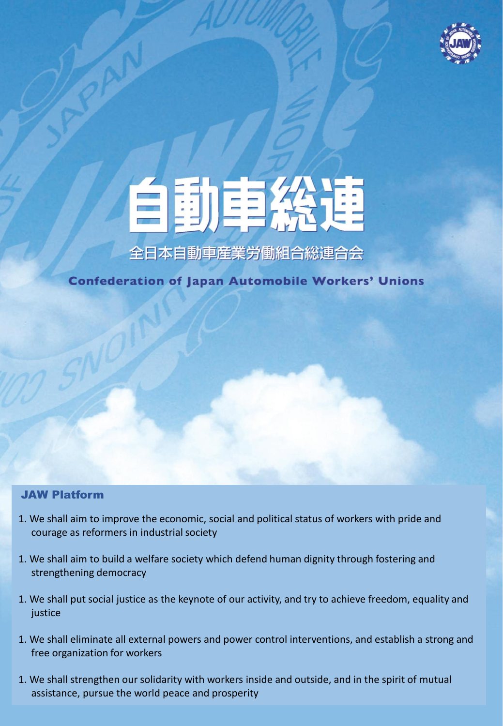



**Confederation of Japan Automobile Workers' Unions** 

### JAW Platform

- 1. We shall aim to improve the economic, social and political status of workers with pride and courage as reformers in industrial society
- 1. We shall aim to build a welfare society which defend human dignity through fostering and strengthening democracy
- 1. We shall put social justice as the keynote of our activity, and try to achieve freedom, equality and justice
- 1. We shall eliminate all external powers and power control interventions, and establish a strong and free organization for workers
- 1. We shall strengthen our solidarity with workers inside and outside, and in the spirit of mutual assistance, pursue the world peace and prosperity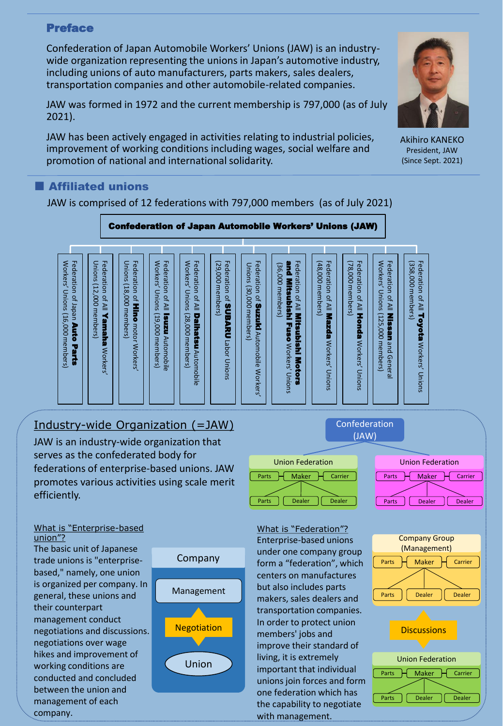### Preface

Confederation of Japan Automobile Workers' Unions (JAW) is an industrywide organization representing the unions in Japan's automotive industry, including unions of auto manufacturers, parts makers, sales dealers, transportation companies and other automobile-related companies.

JAW was formed in 1972 and the current membership is 797,000 (as of July 2021).

JAW has been actively engaged in activities relating to industrial policies, improvement of working conditions including wages, social welfare and promotion of national and international solidarity.

### **Affiliated unions**

JAW is comprised of 12 federations with 797,000 members (as of July 2021)



### Industry-wide Organization (=JAW)

JAW is an industry-wide organization that serves as the confederated body for federations of enterprise-based unions. JAW promotes various activities using scale merit efficiently.

#### What is "Enterprise-based union"?

The basic unit of Japanese trade unions is "enterprisebased," namely, one union is organized per company. In general, these unions and their counterpart management conduct negotiations and discussions. negotiations over wage hikes and improvement of working conditions are conducted and concluded between the union and management of each company.





Confederation

What is "Federation"? Enterprise-based unions under one company group form a "federation", which centers on manufactures but also includes parts makers, sales dealers and transportation companies. In order to protect union members' jobs and improve their standard of living, it is extremely important that individual unions join forces and form one federation which has the capability to negotiate with management.



Akihiro KANEKO President, JAW (Since Sept. 2021)



Union Federation Parts  $\overline{\mathsf{H}}$  Maker  $\overline{\mathsf{H}}$  Carrier

Parts | Dealer | Dealer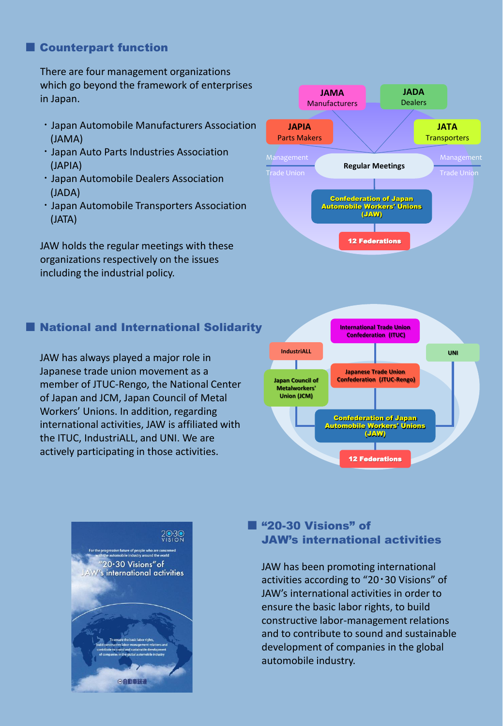### ■ Counterpart function

There are four management organizations which go beyond the framework of enterprises in Japan.

- ・Japan Automobile Manufacturers Association (JAMA)
- ・Japan Auto Parts Industries Association (JAPIA)
- ・Japan Automobile Dealers Association (JADA)
- ・Japan Automobile Transporters Association (JATA)

JAW holds the regular meetings with these organizations respectively on the issues including the industrial policy.

# ■ National and International Solidarity

JAW has always played a major role in Japanese trade union movement as a member of JTUC-Rengo, the National Center of Japan and JCM, Japan Council of Metal Workers' Unions. In addition, regarding international activities, JAW is affiliated with the ITUC, IndustriALL, and UNI. We are actively participating in those activities.

#### **Regular Meetings JAPIA** Parts Makers **JAMA** Manufacturers **JATA Transporters JADA** Dealers Confederation of Japan Automobile Workers' Unions (JAW) 12 Federations Trade Union





## ■ "20-30 Visions" of JAW's international activities

JAW has been promoting international activities according to "20・30 Visions" of JAW's international activities in order to ensure the basic labor rights, to build constructive labor-management relations and to contribute to sound and sustainable development of companies in the global automobile industry.